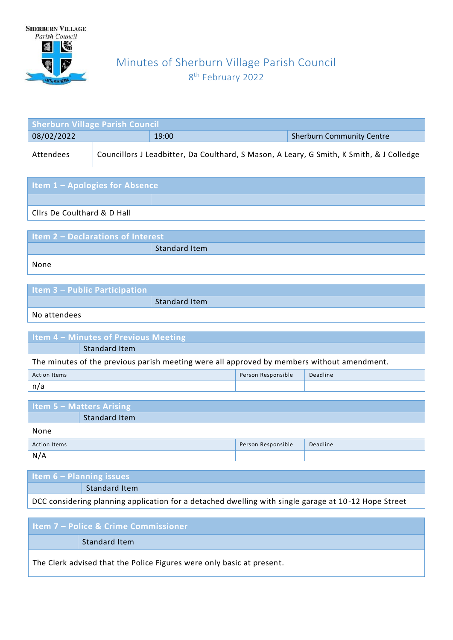

# Minutes of Sherburn Village Parish Council 8<sup>th</sup> February 2022

| <b>Sherburn Village Parish Council</b> |  |                                                                                          |                                  |  |
|----------------------------------------|--|------------------------------------------------------------------------------------------|----------------------------------|--|
| 08/02/2022                             |  | 19:00                                                                                    | <b>Sherburn Community Centre</b> |  |
| Attendees                              |  | Councillors J Leadbitter, Da Coulthard, S Mason, A Leary, G Smith, K Smith, & J Colledge |                                  |  |

| <b>Item 1 - Apologies for Absence</b>  |  |  |  |  |
|----------------------------------------|--|--|--|--|
|                                        |  |  |  |  |
| <b>Clirs De Coulthard &amp; D Hall</b> |  |  |  |  |

| <b>Item 2 - Declarations of Interest</b> |               |  |  |
|------------------------------------------|---------------|--|--|
|                                          | Standard Item |  |  |
| None                                     |               |  |  |

| <b>Item 3 - Public Participation</b> |               |
|--------------------------------------|---------------|
|                                      | Standard Item |
|                                      |               |

No attendees

| <b>Item 4 - Minutes of Previous Meeting</b>                                                |               |  |  |
|--------------------------------------------------------------------------------------------|---------------|--|--|
|                                                                                            | Standard Item |  |  |
| The minutes of the previous parish meeting were all approved by members without amendment. |               |  |  |
| Person Responsible<br>Deadline<br><b>Action Items</b>                                      |               |  |  |
| n/a                                                                                        |               |  |  |

| <b>Item 5 - Matters Arising</b> |               |                    |          |
|---------------------------------|---------------|--------------------|----------|
|                                 | Standard Item |                    |          |
| None                            |               |                    |          |
| <b>Action Items</b>             |               | Person Responsible | Deadline |
| N/A                             |               |                    |          |

| Item $6$ – Planning issues |               |
|----------------------------|---------------|
|                            | Standard Item |
|                            |               |

DCC considering planning application for a detached dwelling with single garage at 10 -12 Hope Street

| l Item 7 – Police & Crime Commissioner                                |  |  |
|-----------------------------------------------------------------------|--|--|
| Standard Item                                                         |  |  |
| The Clerk advised that the Police Figures were only basic at present. |  |  |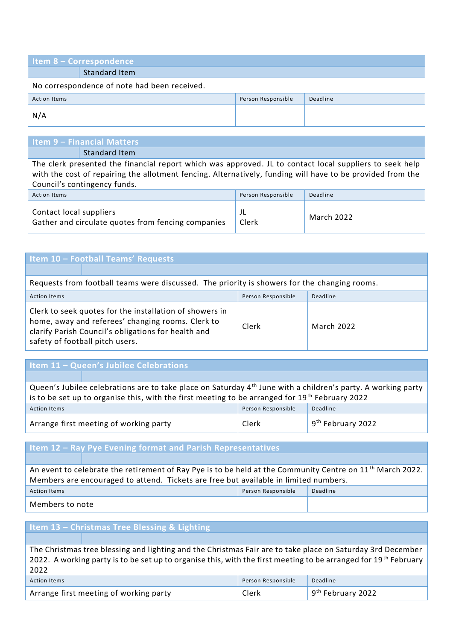| <b>Item 8 - Correspondence</b>               |               |                    |          |  |
|----------------------------------------------|---------------|--------------------|----------|--|
|                                              | Standard Item |                    |          |  |
| No correspondence of note had been received. |               |                    |          |  |
| <b>Action Items</b>                          |               | Person Responsible | Deadline |  |
| N/A                                          |               |                    |          |  |

## **Item 9 – Financial Matters**

Standard Item

The clerk presented the financial report which was approved. JL to contact local suppliers to seek help with the cost of repairing the allotment fencing. Alternatively, funding will have to be provided from the Council's contingency funds.

| <b>Action Items</b>                                                           | Person Responsible | Deadline          |
|-------------------------------------------------------------------------------|--------------------|-------------------|
| Contact local suppliers<br>Gather and circulate quotes from fencing companies | Clerk              | <b>March 2022</b> |

### **Item 10 – Football Teams' Requests**

| Requests from football teams were discussed. The priority is showers for the changing rooms.                                                                                                           |                    |                   |  |
|--------------------------------------------------------------------------------------------------------------------------------------------------------------------------------------------------------|--------------------|-------------------|--|
| <b>Action Items</b>                                                                                                                                                                                    | Person Responsible | Deadline          |  |
| Clerk to seek quotes for the installation of showers in<br>home, away and referees' changing rooms. Clerk to<br>clarify Parish Council's obligations for health and<br>safety of football pitch users. | Clerk              | <b>March 2022</b> |  |

#### **Item 11 – Queen's Jubilee Celebrations**

Queen's Jubilee celebrations are to take place on Saturday 4<sup>th</sup> June with a children's party. A working party is to be set up to organise this, with the first meeting to be arranged for 19<sup>th</sup> February 2022 Action Items Person Responsible Deadline Arrange first meeting of working party **Example 2** Clerk 9<sup>th</sup> February 2022

#### **Item 12 – Ray Pye Evening format and Parish Representatives**

An event to celebrate the retirement of Ray Pye is to be held at the Community Centre on 11<sup>th</sup> March 2022. Members are encouraged to attend. Tickets are free but available in limited numbers. Action Items

| Members to note |  |
|-----------------|--|
|                 |  |

| Person Responsible | Deadline |
|--------------------|----------|
|                    |          |

## **Item 13 – Christmas Tree Blessing & Lighting**

The Christmas tree blessing and lighting and the Christmas Fair are to take place on Saturday 3rd December 2022. A working party is to be set up to organise this, with the first meeting to be arranged for 19<sup>th</sup> February 2022

| <b>Action Items</b>                    | Person Responsible | Deadline            |
|----------------------------------------|--------------------|---------------------|
| Arrange first meeting of working party | Clerk              | $9th$ February 2022 |